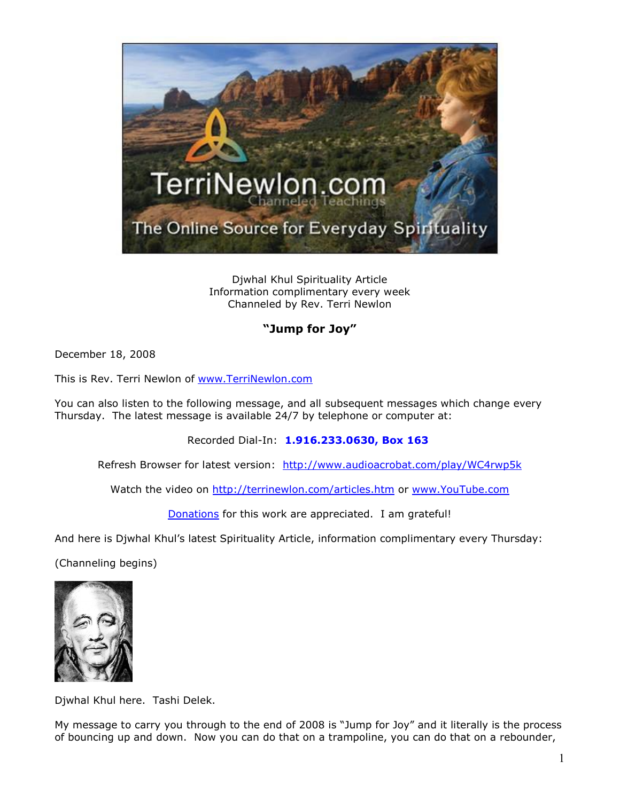

Djwhal Khul Spirituality Article Information complimentary every week Channeled by Rev. Terri Newlon

## **"Jump for Joy"**

December 18, 2008

This is Rev. Terri Newlon of [www.TerriNewlon.com](http://www.terrinewlon.com/)

You can also listen to the following message, and all subsequent messages which change every Thursday. The latest message is available 24/7 by telephone or computer at:

Recorded Dial-In: **1.916.233.0630, Box 163**

Refresh Browser for latest version: <http://www.audioacrobat.com/play/WC4rwp5k>

Watch the video on<http://terrinewlon.com/articles.htm> or [www.YouTube.com](http://www.youtube.com/)

[Donations](http://terrinewlon.com/articles_donation.html) for this work are appreciated. I am grateful!

And here is Djwhal Khul's latest Spirituality Article, information complimentary every Thursday:

(Channeling begins)



Djwhal Khul here. Tashi Delek.

My message to carry you through to the end of 2008 is "Jump for Joy" and it literally is the process of bouncing up and down. Now you can do that on a trampoline, you can do that on a rebounder,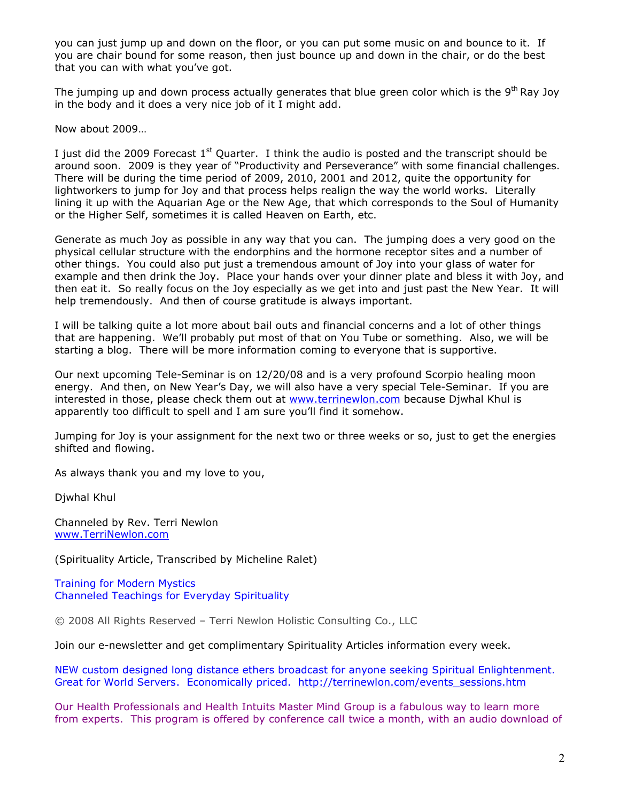you can just jump up and down on the floor, or you can put some music on and bounce to it. If you are chair bound for some reason, then just bounce up and down in the chair, or do the best that you can with what you've got.

The jumping up and down process actually generates that blue green color which is the  $9<sup>th</sup>$  Ray Joy in the body and it does a very nice job of it I might add.

Now about 2009…

I just did the 2009 Forecast  $1<sup>st</sup>$  Quarter. I think the audio is posted and the transcript should be around soon. 2009 is they year of "Productivity and Perseverance" with some financial challenges. There will be during the time period of 2009, 2010, 2001 and 2012, quite the opportunity for lightworkers to jump for Joy and that process helps realign the way the world works. Literally lining it up with the Aquarian Age or the New Age, that which corresponds to the Soul of Humanity or the Higher Self, sometimes it is called Heaven on Earth, etc.

Generate as much Joy as possible in any way that you can. The jumping does a very good on the physical cellular structure with the endorphins and the hormone receptor sites and a number of other things. You could also put just a tremendous amount of Joy into your glass of water for example and then drink the Joy. Place your hands over your dinner plate and bless it with Joy, and then eat it. So really focus on the Joy especially as we get into and just past the New Year. It will help tremendously. And then of course gratitude is always important.

I will be talking quite a lot more about bail outs and financial concerns and a lot of other things that are happening. We'll probably put most of that on You Tube or something. Also, we will be starting a blog. There will be more information coming to everyone that is supportive.

Our next upcoming Tele-Seminar is on 12/20/08 and is a very profound Scorpio healing moon energy. And then, on New Year's Day, we will also have a very special Tele-Seminar. If you are interested in those, please check them out at [www.terrinewlon.com](http://www.terrinewlon.com/) because Djwhal Khul is apparently too difficult to spell and I am sure you'll find it somehow.

Jumping for Joy is your assignment for the next two or three weeks or so, just to get the energies shifted and flowing.

As always thank you and my love to you,

Djwhal Khul

Channeled by Rev. Terri Newlon [www.TerriNewlon.com](http://www.terrinewlon.com/)

(Spirituality Article, Transcribed by Micheline Ralet)

Training for Modern Mystics [Channeled Teachings for Everyday Spirituality](http://www.terrinewlon.com/)

© 2008 All Rights Reserved – Terri Newlon Holistic Consulting Co., LLC

Join our e-newsletter and get complimentary Spirituality Articles information every week.

NEW custom designed long distance ethers broadcast for anyone seeking Spiritual Enlightenment. Great for World Servers. Economically priced. [http://terrinewlon.com/events\\_sessions.htm](http://terrinewlon.com/events_sessions.htm)

Our Health Professionals and Health Intuits Master Mind Group is a fabulous way to learn more from experts. This program is offered by conference call twice a month, with an audio download of